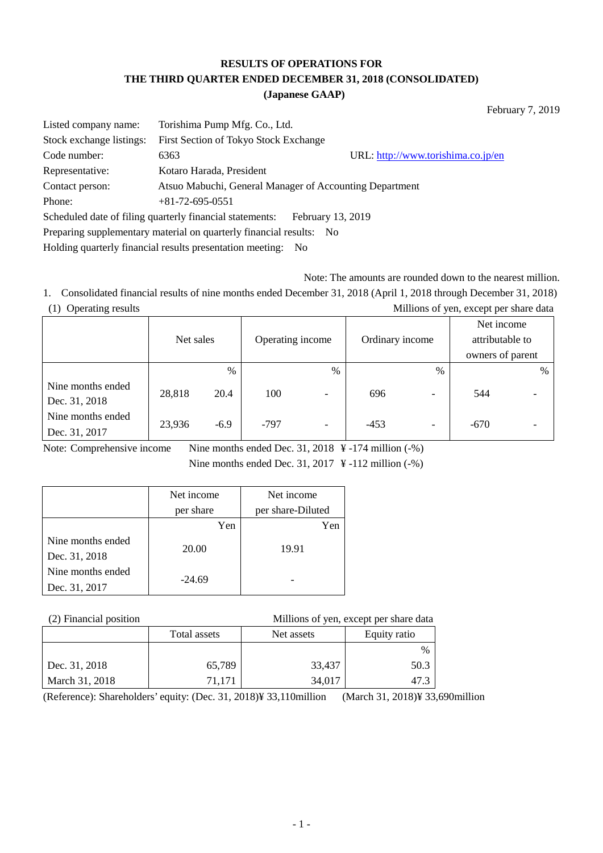# **RESULTS OF OPERATIONS FOR THE THIRD QUARTER ENDED DECEMBER 31, 2018 (CONSOLIDATED)**

**(Japanese GAAP)**

February 7, 2019

| Listed company name:                                                | Torishima Pump Mfg. Co., Ltd.                                                 |                                    |  |  |  |
|---------------------------------------------------------------------|-------------------------------------------------------------------------------|------------------------------------|--|--|--|
| Stock exchange listings:                                            | First Section of Tokyo Stock Exchange                                         |                                    |  |  |  |
| Code number:                                                        | 6363                                                                          | URL: http://www.torishima.co.jp/en |  |  |  |
| Representative:                                                     | Kotaro Harada, President                                                      |                                    |  |  |  |
| Contact person:                                                     | Atsuo Mabuchi, General Manager of Accounting Department                       |                                    |  |  |  |
| Phone:                                                              | $+81-72-695-0551$                                                             |                                    |  |  |  |
|                                                                     | Scheduled date of filing quarterly financial statements:<br>February 13, 2019 |                                    |  |  |  |
| Preparing supplementary material on quarterly financial results: No |                                                                               |                                    |  |  |  |
| Holding quarterly financial results presentation meeting:<br>- No   |                                                                               |                                    |  |  |  |

Note: The amounts are rounded down to the nearest million.

1. Consolidated financial results of nine months ended December 31, 2018 (April 1, 2018 through December 31, 2018) (1) Operating results Millions of yen, except per share data

|                                    | Net sales |        | Operating income |                          | Ordinary income |                          | Net income<br>attributable to<br>owners of parent |   |
|------------------------------------|-----------|--------|------------------|--------------------------|-----------------|--------------------------|---------------------------------------------------|---|
|                                    |           | $\%$   |                  | $\%$                     |                 | $\%$                     |                                                   | % |
| Nine months ended<br>Dec. 31, 2018 | 28,818    | 20.4   | 100              | $\overline{\phantom{0}}$ | 696             | $\overline{\phantom{0}}$ | 544                                               |   |
| Nine months ended<br>Dec. 31, 2017 | 23,936    | $-6.9$ | $-797$           | $\overline{\phantom{a}}$ | $-453$          | $\overline{\phantom{0}}$ | $-670$                                            |   |

Note: Comprehensive income Nine months ended Dec. 31, 2018 ¥ -174 million (-%) Nine months ended Dec. 31, 2017  $\frac{1}{2}$  -112 million (-%)

|                                    | Net income | Net income        |
|------------------------------------|------------|-------------------|
|                                    | per share  | per share-Diluted |
|                                    | Yen        | Yen               |
| Nine months ended<br>Dec. 31, 2018 | 20.00      | 19.91             |
| Nine months ended                  | $-24.69$   |                   |
| Dec. 31, 2017                      |            |                   |

(2) Financial position Millions of yen, except per share data

|                | Total assets | Net assets | Equity ratio |
|----------------|--------------|------------|--------------|
|                |              |            | $\%$         |
| Dec. 31, 2018  | 65,789       | 33,437     | 50.3         |
| March 31, 2018 | 71.171       | 34,017     | 47.3         |

(Reference): Shareholders' equity: (Dec. 31, 2018)¥ 33,110million (March 31, 2018)¥ 33,690million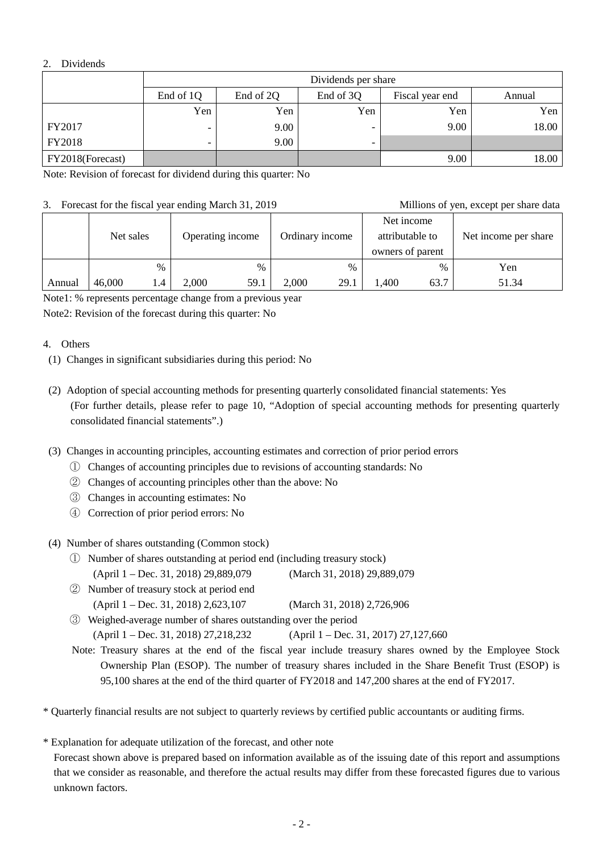## 2. Dividends

|                  | Dividends per share |                                                     |                          |      |       |  |  |  |  |
|------------------|---------------------|-----------------------------------------------------|--------------------------|------|-------|--|--|--|--|
|                  | End of 1Q           | End of 2Q<br>End of 3Q<br>Fiscal year end<br>Annual |                          |      |       |  |  |  |  |
|                  | Yen                 | Yen                                                 | Yen                      | Yen  | Yen   |  |  |  |  |
| FY2017           | -                   | 9.00                                                |                          | 9.00 | 18.00 |  |  |  |  |
| <b>FY2018</b>    | -                   | 9.00                                                | $\overline{\phantom{0}}$ |      |       |  |  |  |  |
| FY2018(Forecast) |                     |                                                     |                          | 9.00 | 18.00 |  |  |  |  |

Note: Revision of forecast for dividend during this quarter: No

### 3. Forecast for the fiscal year ending March 31, 2019 Millions of yen, except per share data

| J.,    | T orceast for the fisear year ending march 31, 2017 |     |                  |      |                 |               |                                                   |      | <b>MILLIONS</b> OF YOU, CACOPE DUE SHATE GATA |
|--------|-----------------------------------------------------|-----|------------------|------|-----------------|---------------|---------------------------------------------------|------|-----------------------------------------------|
|        | Net sales                                           |     | Operating income |      | Ordinary income |               | Net income<br>attributable to<br>owners of parent |      | Net income per share                          |
|        | $\%$                                                |     |                  | $\%$ |                 | $\frac{0}{0}$ |                                                   | $\%$ | Yen                                           |
| Annual | 46,000                                              | l.4 | 2,000            | 59.1 | 2,000           | 29.1          | 1,400                                             | 63.7 | 51.34                                         |

Note1: % represents percentage change from a previous year

Note2: Revision of the forecast during this quarter: No

## 4. Others

(1) Changes in significant subsidiaries during this period: No

- (2) Adoption of special accounting methods for presenting quarterly consolidated financial statements: Yes (For further details, please refer to page 10, "Adoption of special accounting methods for presenting quarterly consolidated financial statements".)
- (3) Changes in accounting principles, accounting estimates and correction of prior period errors
	- ① Changes of accounting principles due to revisions of accounting standards: No
	- ② Changes of accounting principles other than the above: No
	- ③ Changes in accounting estimates: No
	- ④ Correction of prior period errors: No

## (4) Number of shares outstanding (Common stock)

- ① Number of shares outstanding at period end (including treasury stock) (April 1 – Dec. 31, 2018) 29,889,079 (March 31, 2018) 29,889,079
- ② Number of treasury stock at period end (April 1 – Dec. 31, 2018) 2,623,107 (March 31, 2018) 2,726,906
- ③ Weighed-average number of shares outstanding over the period (April 1 – Dec. 31, 2018) 27,218,232 (April 1 – Dec. 31, 2017) 27,127,660

Note: Treasury shares at the end of the fiscal year include treasury shares owned by the Employee Stock Ownership Plan (ESOP). The number of treasury shares included in the Share Benefit Trust (ESOP) is 95,100 shares at the end of the third quarter of FY2018 and 147,200 shares at the end of FY2017.

\* Quarterly financial results are not subject to quarterly reviews by certified public accountants or auditing firms.

\* Explanation for adequate utilization of the forecast, and other note Forecast shown above is prepared based on information available as of the issuing date of this report and assumptions that we consider as reasonable, and therefore the actual results may differ from these forecasted figures due to various unknown factors.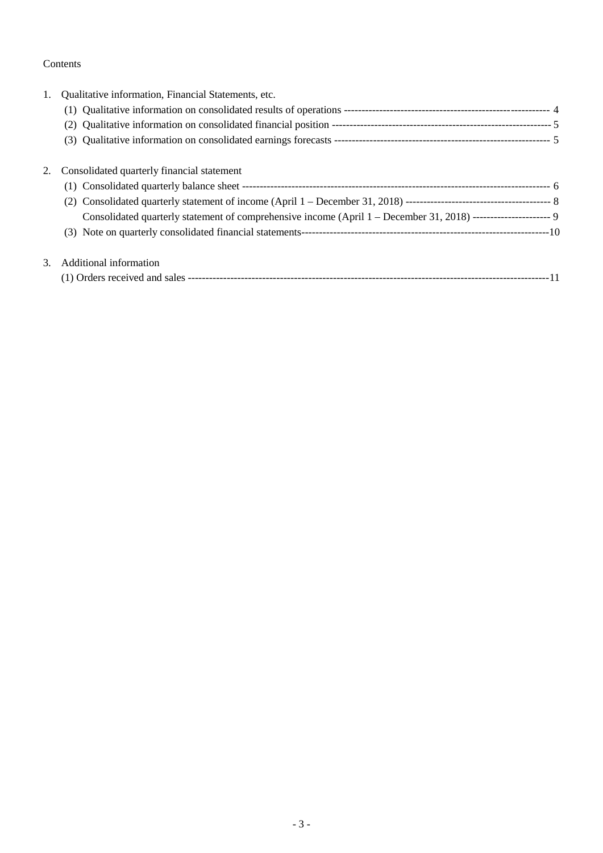## Contents

| 1. | Qualitative information, Financial Statements, etc.                                                            |  |
|----|----------------------------------------------------------------------------------------------------------------|--|
|    |                                                                                                                |  |
|    |                                                                                                                |  |
|    |                                                                                                                |  |
| 2. | Consolidated quarterly financial statement                                                                     |  |
|    |                                                                                                                |  |
|    |                                                                                                                |  |
|    | Consolidated quarterly statement of comprehensive income (April 1 - December 31, 2018) --------------------- 9 |  |
|    |                                                                                                                |  |
| 3. | Additional information                                                                                         |  |
|    |                                                                                                                |  |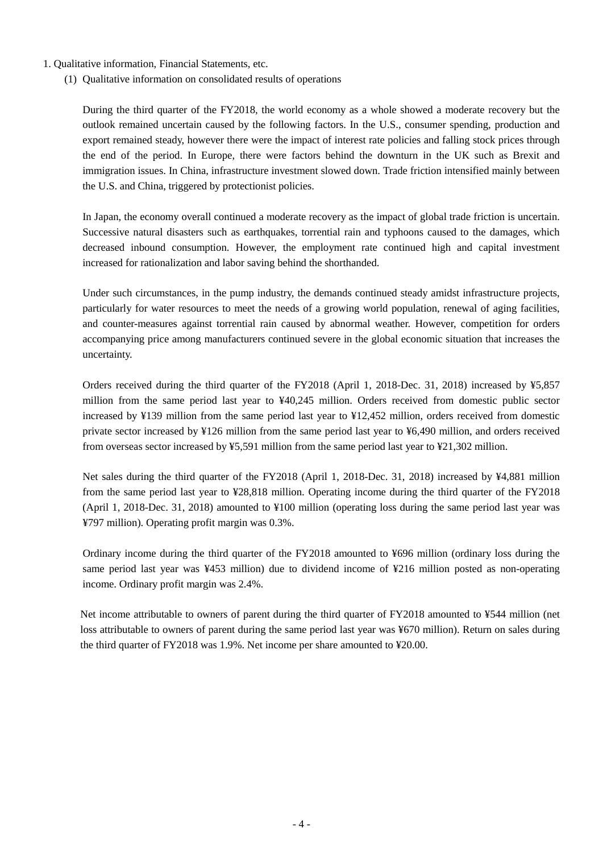- 1. Qualitative information, Financial Statements, etc.
	- (1) Qualitative information on consolidated results of operations

During the third quarter of the FY2018, the world economy as a whole showed a moderate recovery but the outlook remained uncertain caused by the following factors. In the U.S., consumer spending, production and export remained steady, however there were the impact of interest rate policies and falling stock prices through the end of the period. In Europe, there were factors behind the downturn in the UK such as Brexit and immigration issues. In China, infrastructure investment slowed down. Trade friction intensified mainly between the U.S. and China, triggered by protectionist policies.

In Japan, the economy overall continued a moderate recovery as the impact of global trade friction is uncertain. Successive natural disasters such as earthquakes, torrential rain and typhoons caused to the damages, which decreased inbound consumption. However, the employment rate continued high and capital investment increased for rationalization and labor saving behind the shorthanded.

Under such circumstances, in the pump industry, the demands continued steady amidst infrastructure projects, particularly for water resources to meet the needs of a growing world population, renewal of aging facilities, and counter-measures against torrential rain caused by abnormal weather. However, competition for orders accompanying price among manufacturers continued severe in the global economic situation that increases the uncertainty.

Orders received during the third quarter of the FY2018 (April 1, 2018-Dec. 31, 2018) increased by ¥5,857 million from the same period last year to ¥40,245 million. Orders received from domestic public sector increased by ¥139 million from the same period last year to ¥12,452 million, orders received from domestic private sector increased by ¥126 million from the same period last year to ¥6,490 million, and orders received from overseas sector increased by ¥5,591 million from the same period last year to ¥21,302 million.

Net sales during the third quarter of the FY2018 (April 1, 2018-Dec. 31, 2018) increased by ¥4,881 million from the same period last year to ¥28,818 million. Operating income during the third quarter of the FY2018 (April 1, 2018-Dec. 31, 2018) amounted to ¥100 million (operating loss during the same period last year was ¥797 million). Operating profit margin was 0.3%.

Ordinary income during the third quarter of the FY2018 amounted to ¥696 million (ordinary loss during the same period last year was ¥453 million) due to dividend income of ¥216 million posted as non-operating income. Ordinary profit margin was 2.4%.

Net income attributable to owners of parent during the third quarter of FY2018 amounted to ¥544 million (net loss attributable to owners of parent during the same period last year was ¥670 million). Return on sales during the third quarter of FY2018 was 1.9%. Net income per share amounted to ¥20.00.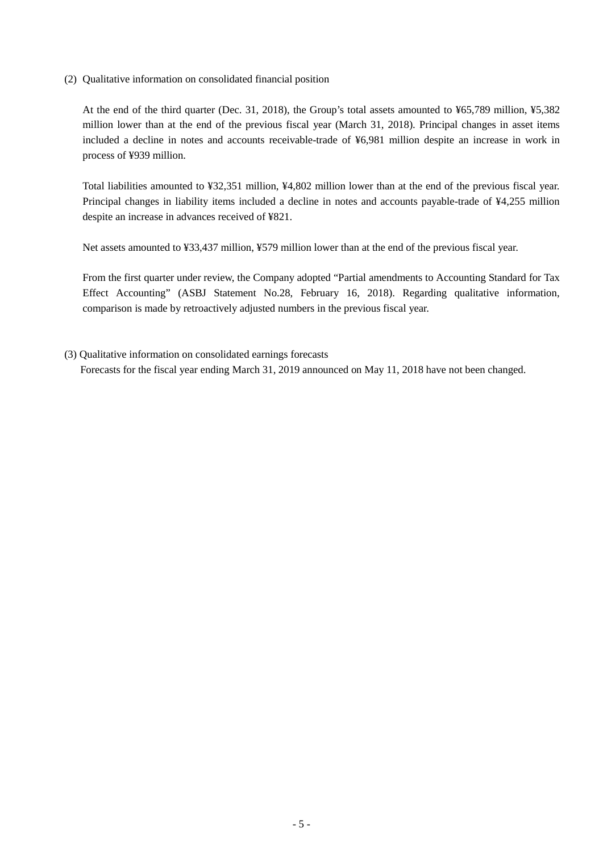(2) Qualitative information on consolidated financial position

At the end of the third quarter (Dec. 31, 2018), the Group's total assets amounted to ¥65,789 million, ¥5,382 million lower than at the end of the previous fiscal year (March 31, 2018). Principal changes in asset items included a decline in notes and accounts receivable-trade of ¥6,981 million despite an increase in work in process of ¥939 million.

Total liabilities amounted to ¥32,351 million, ¥4,802 million lower than at the end of the previous fiscal year. Principal changes in liability items included a decline in notes and accounts payable-trade of ¥4,255 million despite an increase in advances received of ¥821.

Net assets amounted to ¥33,437 million, ¥579 million lower than at the end of the previous fiscal year.

From the first quarter under review, the Company adopted "Partial amendments to Accounting Standard for Tax Effect Accounting" (ASBJ Statement No.28, February 16, 2018). Regarding qualitative information, comparison is made by retroactively adjusted numbers in the previous fiscal year.

(3) Qualitative information on consolidated earnings forecasts

Forecasts for the fiscal year ending March 31, 2019 announced on May 11, 2018 have not been changed.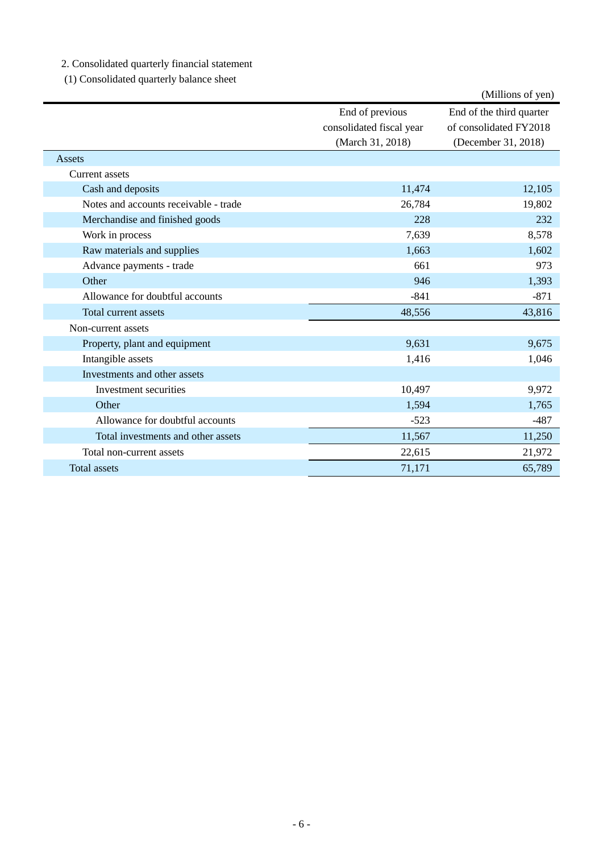2. Consolidated quarterly financial statement

(1) Consolidated quarterly balance sheet

|                                       |                                                                 | (Millions of yen)                                                         |
|---------------------------------------|-----------------------------------------------------------------|---------------------------------------------------------------------------|
|                                       | End of previous<br>consolidated fiscal year<br>(March 31, 2018) | End of the third quarter<br>of consolidated FY2018<br>(December 31, 2018) |
| Assets                                |                                                                 |                                                                           |
| Current assets                        |                                                                 |                                                                           |
| Cash and deposits                     | 11,474                                                          | 12,105                                                                    |
| Notes and accounts receivable - trade | 26,784                                                          | 19,802                                                                    |
| Merchandise and finished goods        | 228                                                             | 232                                                                       |
| Work in process                       | 7,639                                                           | 8,578                                                                     |
| Raw materials and supplies            | 1,663                                                           | 1,602                                                                     |
| Advance payments - trade              | 661                                                             | 973                                                                       |
| Other                                 | 946                                                             | 1,393                                                                     |
| Allowance for doubtful accounts       | $-841$                                                          | $-871$                                                                    |
| Total current assets                  | 48,556                                                          | 43,816                                                                    |
| Non-current assets                    |                                                                 |                                                                           |
| Property, plant and equipment         | 9,631                                                           | 9,675                                                                     |
| Intangible assets                     | 1,416                                                           | 1,046                                                                     |
| Investments and other assets          |                                                                 |                                                                           |
| Investment securities                 | 10,497                                                          | 9,972                                                                     |
| Other                                 | 1,594                                                           | 1,765                                                                     |
| Allowance for doubtful accounts       | $-523$                                                          | $-487$                                                                    |
| Total investments and other assets    | 11,567                                                          | 11,250                                                                    |
| Total non-current assets              | 22,615                                                          | 21,972                                                                    |
| <b>Total assets</b>                   | 71,171                                                          | 65,789                                                                    |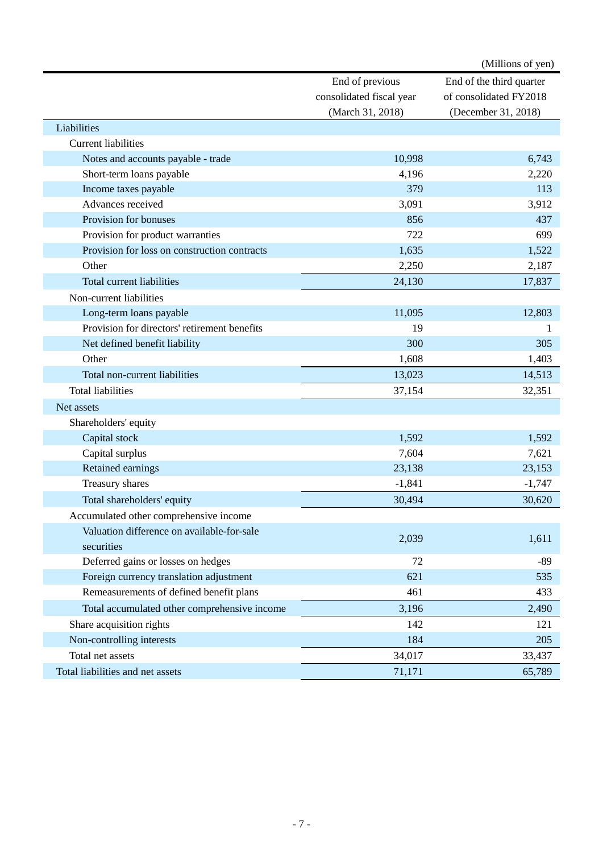|                                              |                          | (Millions of yen)        |
|----------------------------------------------|--------------------------|--------------------------|
|                                              | End of previous          | End of the third quarter |
|                                              | consolidated fiscal year | of consolidated FY2018   |
|                                              | (March 31, 2018)         | (December 31, 2018)      |
| Liabilities                                  |                          |                          |
| <b>Current liabilities</b>                   |                          |                          |
| Notes and accounts payable - trade           | 10,998                   | 6,743                    |
| Short-term loans payable                     | 4,196                    | 2,220                    |
| Income taxes payable                         | 379                      | 113                      |
| Advances received                            | 3,091                    | 3,912                    |
| Provision for bonuses                        | 856                      | 437                      |
| Provision for product warranties             | 722                      | 699                      |
| Provision for loss on construction contracts | 1,635                    | 1,522                    |
| Other                                        | 2,250                    | 2,187                    |
| Total current liabilities                    | 24,130                   | 17,837                   |
| Non-current liabilities                      |                          |                          |
| Long-term loans payable                      | 11,095                   | 12,803                   |
| Provision for directors' retirement benefits | 19                       |                          |
| Net defined benefit liability                | 300                      | 305                      |
| Other                                        | 1,608                    | 1,403                    |
| Total non-current liabilities                | 13,023                   | 14,513                   |
| <b>Total liabilities</b>                     | 37,154                   | 32,351                   |
| Net assets                                   |                          |                          |
| Shareholders' equity                         |                          |                          |
| Capital stock                                | 1,592                    | 1,592                    |
| Capital surplus                              | 7,604                    | 7,621                    |
| Retained earnings                            | 23,138                   | 23,153                   |
| Treasury shares                              | $-1,841$                 | $-1,747$                 |
| Total shareholders' equity                   | 30,494                   | 30,620                   |
| Accumulated other comprehensive income       |                          |                          |
| Valuation difference on available-for-sale   |                          |                          |
| securities                                   | 2,039                    | 1,611                    |
| Deferred gains or losses on hedges           | 72                       | $-89$                    |
| Foreign currency translation adjustment      | 621                      | 535                      |
| Remeasurements of defined benefit plans      | 461                      | 433                      |
| Total accumulated other comprehensive income | 3,196                    | 2,490                    |
|                                              | 142                      |                          |
| Share acquisition rights                     |                          | 121                      |
| Non-controlling interests                    | 184                      | 205                      |
| Total net assets                             | 34,017                   | 33,437                   |
| Total liabilities and net assets             | 71,171                   | 65,789                   |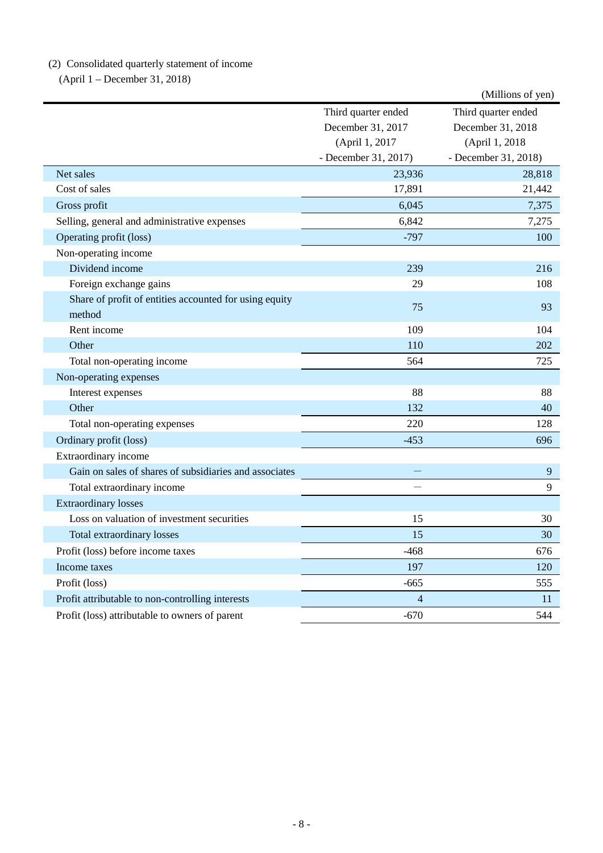# (2) Consolidated quarterly statement of income

(April 1 – December 31, 2018)

|                                                                  |                          | (Millions of yen)    |
|------------------------------------------------------------------|--------------------------|----------------------|
|                                                                  | Third quarter ended      | Third quarter ended  |
|                                                                  | December 31, 2017        | December 31, 2018    |
|                                                                  | (April 1, 2017           | (April 1, 2018)      |
|                                                                  | - December 31, 2017)     | - December 31, 2018) |
| Net sales                                                        | 23,936                   | 28,818               |
| Cost of sales                                                    | 17,891                   | 21,442               |
| Gross profit                                                     | 6,045                    | 7,375                |
| Selling, general and administrative expenses                     | 6,842                    | 7,275                |
| Operating profit (loss)                                          | $-797$                   | 100                  |
| Non-operating income                                             |                          |                      |
| Dividend income                                                  | 239                      | 216                  |
| Foreign exchange gains                                           | 29                       | 108                  |
| Share of profit of entities accounted for using equity<br>method | 75                       | 93                   |
| Rent income                                                      | 109                      | 104                  |
| Other                                                            | 110                      | 202                  |
| Total non-operating income                                       | 564                      | 725                  |
| Non-operating expenses                                           |                          |                      |
| Interest expenses                                                | 88                       | 88                   |
| Other                                                            | 132                      | 40                   |
| Total non-operating expenses                                     | 220                      | 128                  |
| Ordinary profit (loss)                                           | $-453$                   | 696                  |
| Extraordinary income                                             |                          |                      |
| Gain on sales of shares of subsidiaries and associates           |                          | 9                    |
| Total extraordinary income                                       |                          | 9                    |
| <b>Extraordinary losses</b>                                      |                          |                      |
| Loss on valuation of investment securities                       | 15                       | 30                   |
| <b>Total extraordinary losses</b>                                | 15                       | 30                   |
| Profit (loss) before income taxes                                | $-468$                   | 676                  |
| Income taxes                                                     | 197                      | 120                  |
| Profit (loss)                                                    | $-665$                   | 555                  |
| Profit attributable to non-controlling interests                 | $\overline{\mathcal{A}}$ | 11                   |
| Profit (loss) attributable to owners of parent                   | $-670$                   | 544                  |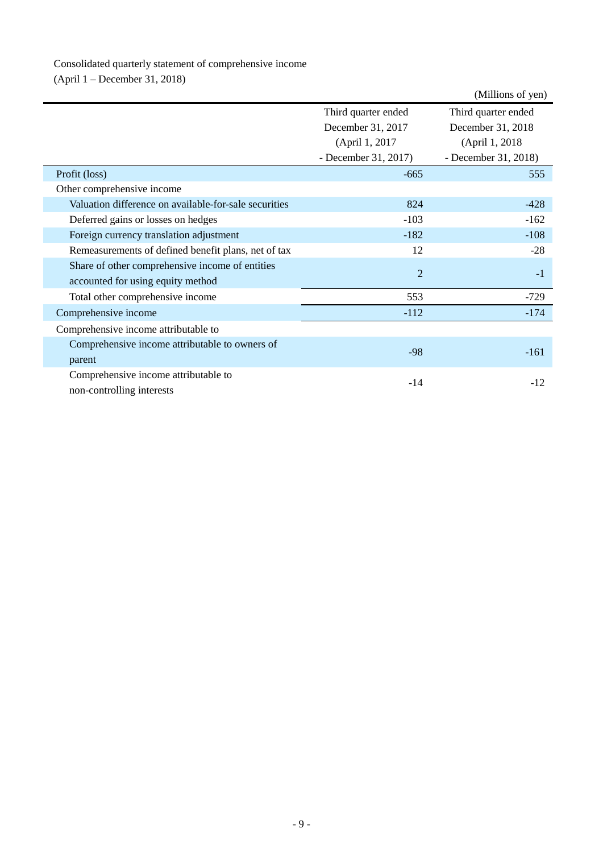# Consolidated quarterly statement of comprehensive income

(April 1 – December 31, 2018)

|                                                       |                      | (Millions of yen)    |
|-------------------------------------------------------|----------------------|----------------------|
|                                                       | Third quarter ended  | Third quarter ended  |
|                                                       | December 31, 2017    | December 31, 2018    |
|                                                       | (April 1, 2017)      | (April 1, 2018)      |
|                                                       | - December 31, 2017) | - December 31, 2018) |
| Profit (loss)                                         | $-665$               | 555                  |
| Other comprehensive income                            |                      |                      |
| Valuation difference on available-for-sale securities | 824                  | $-428$               |
| Deferred gains or losses on hedges                    | $-103$               | $-162$               |
| Foreign currency translation adjustment               | $-182$               | $-108$               |
| Remeasurements of defined benefit plans, net of tax   | 12                   | $-28$                |
| Share of other comprehensive income of entities       | $\overline{2}$       | $-1$                 |
| accounted for using equity method                     |                      |                      |
| Total other comprehensive income                      | 553                  | $-729$               |
| Comprehensive income                                  | $-112$               | $-174$               |
| Comprehensive income attributable to                  |                      |                      |
| Comprehensive income attributable to owners of        | $-98$                | $-161$               |
| parent                                                |                      |                      |
| Comprehensive income attributable to                  | $-14$                | $-12$                |
| non-controlling interests                             |                      |                      |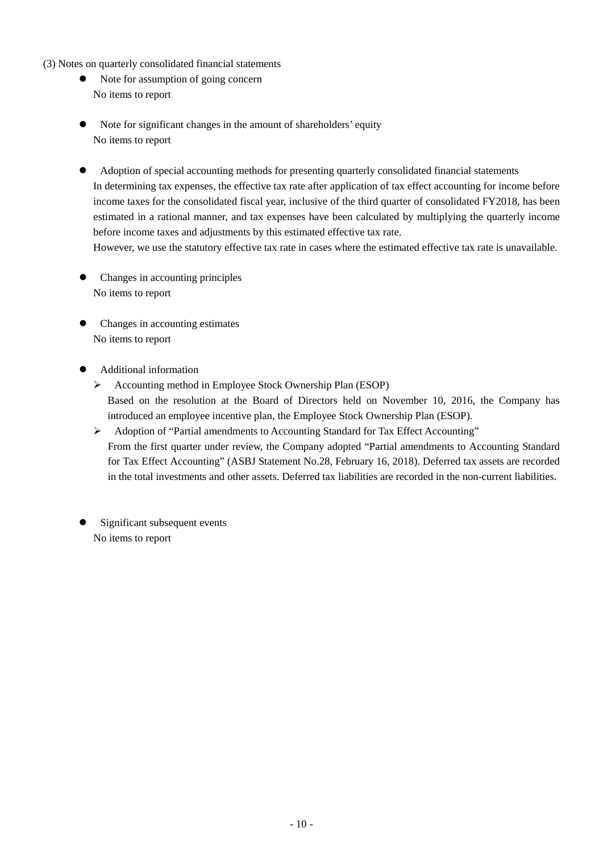- (3) Notes on quarterly consolidated financial statements
	- Note for assumption of going concern No items to report
	- Note for significant changes in the amount of shareholders' equity No items to report
	- Adoption of special accounting methods for presenting quarterly consolidated financial statements In determining tax expenses, the effective tax rate after application of tax effect accounting for income before income taxes for the consolidated fiscal year, inclusive of the third quarter of consolidated FY2018, has been estimated in a rational manner, and tax expenses have been calculated by multiplying the quarterly income before income taxes and adjustments by this estimated effective tax rate.

However, we use the statutory effective tax rate in cases where the estimated effective tax rate is unavailable.

- Changes in accounting principles No items to report
- Changes in accounting estimates No items to report
- Additional information
	- Accounting method in Employee Stock Ownership Plan (ESOP) Based on the resolution at the Board of Directors held on November 10, 2016, the Company has introduced an employee incentive plan, the Employee Stock Ownership Plan (ESOP).
	- Adoption of "Partial amendments to Accounting Standard for Tax Effect Accounting" From the first quarter under review, the Company adopted "Partial amendments to Accounting Standard for Tax Effect Accounting" (ASBJ Statement No.28, February 16, 2018). Deferred tax assets are recorded in the total investments and other assets. Deferred tax liabilities are recorded in the non-current liabilities.
- Significant subsequent events No items to report